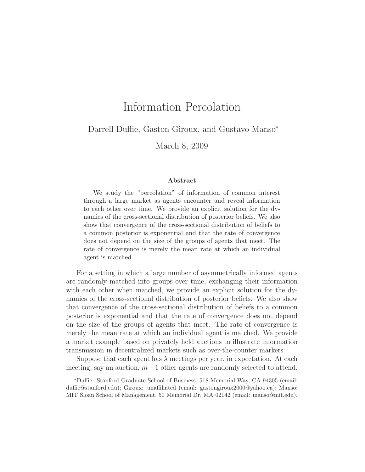# Information Percolation

Darrell Duffie, Gaston Giroux, and Gustavo Manso<sup>∗</sup>

March 8, 2009

#### Abstract

We study the "percolation" of information of common interest through a large market as agents encounter and reveal information to each other over time. We provide an explicit solution for the dynamics of the cross-sectional distribution of posterior beliefs. We also show that convergence of the cross-sectional distribution of beliefs to a common posterior is exponential and that the rate of convergence does not depend on the size of the groups of agents that meet. The rate of convergence is merely the mean rate at which an individual agent is matched.

For a setting in which a large number of asymmetrically informed agents are randomly matched into groups over time, exchanging their information with each other when matched, we provide an explicit solution for the dynamics of the cross-sectional distribution of posterior beliefs. We also show that convergence of the cross-sectional distribution of beliefs to a common posterior is exponential and that the rate of convergence does not depend on the size of the groups of agents that meet. The rate of convergence is merely the mean rate at which an individual agent is matched. We provide a market example based on privately held auctions to illustrate information transmission in decentralized markets such as over-the-counter markets.

Suppose that each agent has  $\lambda$  meetings per year, in expectation. At each meeting, say an auction,  $m-1$  other agents are randomly selected to attend.

<sup>∗</sup>Duffie: Stanford Graduate School of Business, 518 Memorial Way, CA 94305 (email: duffie@stanford.edu); Giroux: unaffiliated (email: gastongiroux2000@yahoo.ca); Manso: MIT Sloan School of Management, 50 Memorial Dr, MA 02142 (email: manso@mit.edu).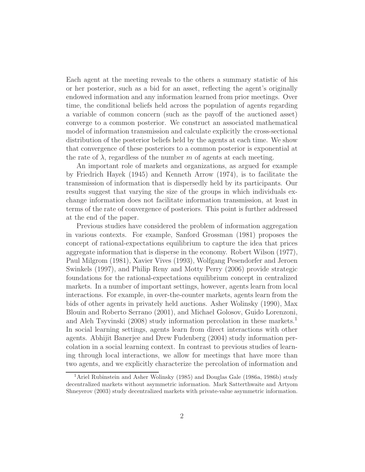Each agent at the meeting reveals to the others a summary statistic of his or her posterior, such as a bid for an asset, reflecting the agent's originally endowed information and any information learned from prior meetings. Over time, the conditional beliefs held across the population of agents regarding a variable of common concern (such as the payoff of the auctioned asset) converge to a common posterior. We construct an associated mathematical model of information transmission and calculate explicitly the cross-sectional distribution of the posterior beliefs held by the agents at each time. We show that convergence of these posteriors to a common posterior is exponential at the rate of  $\lambda$ , regardless of the number m of agents at each meeting.

An important role of markets and organizations, as argued for example by Friedrich Hayek (1945) and Kenneth Arrow (1974), is to facilitate the transmission of information that is dispersedly held by its participants. Our results suggest that varying the size of the groups in which individuals exchange information does not facilitate information transmission, at least in terms of the rate of convergence of posteriors. This point is further addressed at the end of the paper.

Previous studies have considered the problem of information aggregation in various contexts. For example, Sanford Grossman (1981) proposes the concept of rational-expectations equilibrium to capture the idea that prices aggregate information that is disperse in the economy. Robert Wilson (1977), Paul Milgrom (1981), Xavier Vives (1993), Wolfgang Pesendorfer and Jeroen Swinkels (1997), and Philip Reny and Motty Perry (2006) provide strategic foundations for the rational-expectations equilibrium concept in centralized markets. In a number of important settings, however, agents learn from local interactions. For example, in over-the-counter markets, agents learn from the bids of other agents in privately held auctions. Asher Wolinsky (1990), Max Blouin and Roberto Serrano (2001), and Michael Golosov, Guido Lorenzoni, and Aleh Tsyvinski (2008) study information percolation in these markets.<sup>1</sup> In social learning settings, agents learn from direct interactions with other agents. Abhijit Banerjee and Drew Fudenberg (2004) study information percolation in a social learning context. In contrast to previous studies of learning through local interactions, we allow for meetings that have more than two agents, and we explicitly characterize the percolation of information and

<sup>&</sup>lt;sup>1</sup> Ariel Rubinstein and Asher Wolinsky (1985) and Douglas Gale (1986a, 1986b) study decentralized markets without asymmetric information. Mark Satterthwaite and Artyom Shneyerov (2003) study decentralized markets with private-value asymmetric information.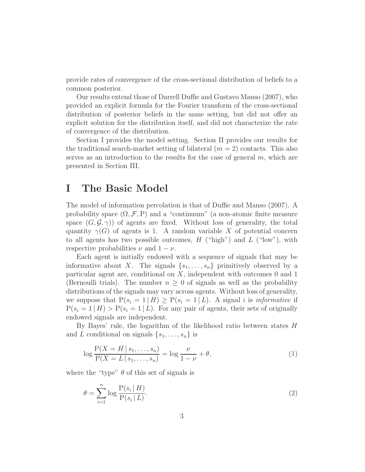provide rates of convergence of the cross-sectional distribution of beliefs to a common posterior.

Our results extend those of Darrell Duffie and Gustavo Manso (2007), who provided an explicit formula for the Fourier transform of the cross-sectional distribution of posterior beliefs in the same setting, but did not offer an explicit solution for the distribution itself, and did not characterize the rate of convergence of the distribution.

Section I provides the model setting. Section II provides our results for the traditional search-market setting of bilateral  $(m = 2)$  contacts. This also serves as an introduction to the results for the case of general  $m$ , which are presented in Section III.

### I The Basic Model

The model of information percolation is that of Duffie and Manso (2007). A probability space  $(\Omega, \mathcal{F}, P)$  and a "continuum" (a non-atomic finite measure space  $(G, \mathcal{G}, \gamma)$  of agents are fixed. Without loss of generality, the total quantity  $\gamma(G)$  of agents is 1. A random variable X of potential concern to all agents has two possible outcomes,  $H$  ("high") and  $L$  ("low"), with respective probabilities  $\nu$  and  $1 - \nu$ .

Each agent is initially endowed with a sequence of signals that may be informative about X. The signals  $\{s_1, \ldots, s_n\}$  primitively observed by a particular agent are, conditional on X, independent with outcomes 0 and 1 (Bernoulli trials). The number  $n \geq 0$  of signals as well as the probability distributions of the signals may vary across agents. Without loss of generality, we suppose that  $P(s_i = 1 | H) \geq P(s_i = 1 | L)$ . A signal i is informative if  $P(s_i = 1 | H) > P(s_i = 1 | L)$ . For any pair of agents, their sets of originally endowed signals are independent.

By Bayes' rule, the logarithm of the likelihood ratio between states H and L conditional on signals  $\{s_1, \ldots, s_n\}$  is

$$
\log \frac{P(X = H \mid s_1, \dots, s_n)}{P(X = L \mid s_1, \dots, s_n)} = \log \frac{\nu}{1 - \nu} + \theta,
$$
\n(1)

where the "type"  $\theta$  of this set of signals is

$$
\theta = \sum_{i=1}^{n} \log \frac{\mathcal{P}(s_i \mid H)}{\mathcal{P}(s_i \mid L)}.
$$
\n
$$
(2)
$$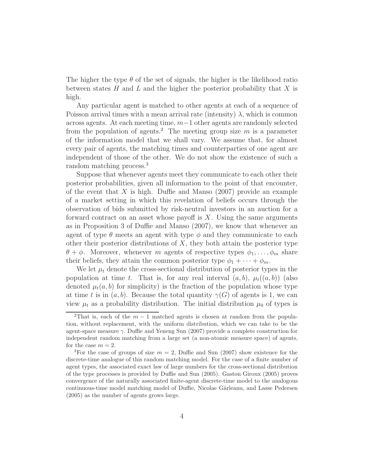The higher the type  $\theta$  of the set of signals, the higher is the likelihood ratio between states  $H$  and  $L$  and the higher the posterior probability that  $X$  is high.

Any particular agent is matched to other agents at each of a sequence of Poisson arrival times with a mean arrival rate (intensity)  $\lambda$ , which is common across agents. At each meeting time, m−1 other agents are randomly selected from the population of agents.<sup>2</sup> The meeting group size m is a parameter of the information model that we shall vary. We assume that, for almost every pair of agents, the matching times and counterparties of one agent are independent of those of the other. We do not show the existence of such a random matching process.<sup>3</sup>

Suppose that whenever agents meet they communicate to each other their posterior probabilities, given all information to the point of that encounter, of the event that  $X$  is high. Duffie and Manso (2007) provide an example of a market setting in which this revelation of beliefs occurs through the observation of bids submitted by risk-neutral investors in an auction for a forward contract on an asset whose payoff is  $X$ . Using the same arguments as in Proposition 3 of Duffie and Manso (2007), we know that whenever an agent of type  $\theta$  meets an agent with type  $\phi$  and they communicate to each other their posterior distributions of  $X$ , they both attain the posterior type  $\theta + \phi$ . Moreover, whenever m agents of respective types  $\phi_1, \ldots, \phi_m$  share their beliefs, they attain the common posterior type  $\phi_1 + \cdots + \phi_m$ .

We let  $\mu_t$  denote the cross-sectional distribution of posterior types in the population at time t. That is, for any real interval  $(a, b)$ ,  $\mu_t((a, b))$  (also denoted  $\mu_t(a, b)$  for simplicity) is the fraction of the population whose type at time t is in  $(a, b)$ . Because the total quantity  $\gamma(G)$  of agents is 1, we can view  $\mu_t$  as a probability distribution. The initial distribution  $\mu_0$  of types is

<sup>&</sup>lt;sup>2</sup>That is, each of the  $m-1$  matched agents is chosen at random from the population, without replacement, with the uniform distribution, which we can take to be the agent-space measure  $\gamma$ . Duffie and Yeneng Sun (2007) provide a complete construction for independent random matching from a large set (a non-atomic measure space) of agents, for the case  $m = 2$ .

<sup>&</sup>lt;sup>3</sup>For the case of groups of size  $m = 2$ , Duffie and Sun (2007) show existence for the discrete-time analogue of this random matching model. For the case of a finite number of agent types, the associated exact law of large numbers for the cross-sectional distribution of the type processes is provided by Duffie and Sun (2005). Gaston Giroux (2005) proves convergence of the naturally associated finite-agent discrete-time model to the analogous continuous-time model matching model of Duffie, Nicolae Gârleanu, and Lasse Pedersen (2005) as the number of agents grows large.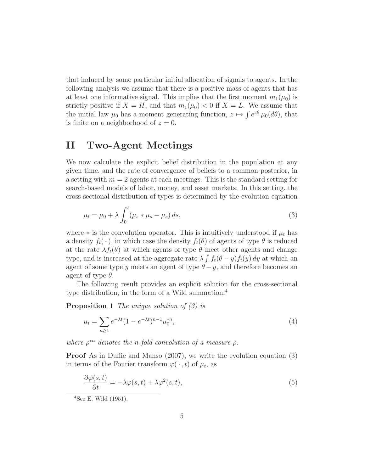that induced by some particular initial allocation of signals to agents. In the following analysis we assume that there is a positive mass of agents that has at least one informative signal. This implies that the first moment  $m_1(\mu_0)$  is strictly positive if  $X = H$ , and that  $m_1(\mu_0) < 0$  if  $X = L$ . We assume that the initial law  $\mu_0$  has a moment generating function,  $z \mapsto \int e^{z\theta} \mu_0(d\theta)$ , that is finite on a neighborhood of  $z = 0$ .

## II Two-Agent Meetings

We now calculate the explicit belief distribution in the population at any given time, and the rate of convergence of beliefs to a common posterior, in a setting with  $m = 2$  agents at each meetings. This is the standard setting for search-based models of labor, money, and asset markets. In this setting, the cross-sectional distribution of types is determined by the evolution equation

$$
\mu_t = \mu_0 + \lambda \int_0^t (\mu_s * \mu_s - \mu_s) ds,
$$
\n(3)

where  $*$  is the convolution operator. This is intuitively understood if  $\mu_t$  has a density  $f_t(\cdot)$ , in which case the density  $f_t(\theta)$  of agents of type  $\theta$  is reduced at the rate  $\lambda f_t(\theta)$  at which agents of type  $\theta$  meet other agents and change type, and is increased at the aggregate rate  $\lambda \int f_t(\theta - y) f_t(y) dy$  at which an agent of some type y meets an agent of type  $\theta - y$ , and therefore becomes an agent of type  $\theta$ .

The following result provides an explicit solution for the cross-sectional type distribution, in the form of a Wild summation.<sup>4</sup>

**Proposition 1** The unique solution of (3) is

$$
\mu_t = \sum_{n \ge 1} e^{-\lambda t} (1 - e^{-\lambda t})^{n-1} \mu_0^{*n},\tag{4}
$$

where  $\rho^{*n}$  denotes the n-fold convolution of a measure  $\rho$ .

Proof As in Duffie and Manso (2007), we write the evolution equation (3) in terms of the Fourier transform  $\varphi(\cdot,t)$  of  $\mu_t$ , as

$$
\frac{\partial \varphi(s,t)}{\partial t} = -\lambda \varphi(s,t) + \lambda \varphi^2(s,t),\tag{5}
$$

<sup>4</sup>See E. Wild (1951).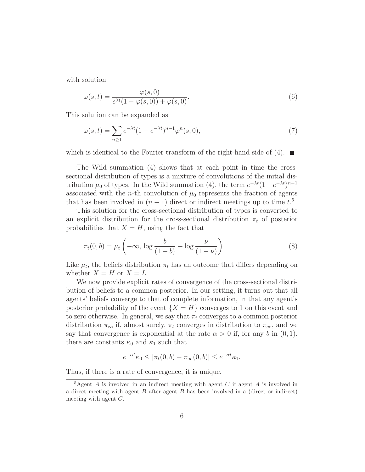with solution

$$
\varphi(s,t) = \frac{\varphi(s,0)}{e^{\lambda t}(1-\varphi(s,0)) + \varphi(s,0)}.
$$
\n(6)

This solution can be expanded as

$$
\varphi(s,t) = \sum_{n\geq 1} e^{-\lambda t} (1 - e^{-\lambda t})^{n-1} \varphi^n(s,0),\tag{7}
$$

which is identical to the Fourier transform of the right-hand side of (4).  $\blacksquare$ 

The Wild summation (4) shows that at each point in time the crosssectional distribution of types is a mixture of convolutions of the initial distribution  $\mu_0$  of types. In the Wild summation (4), the term  $e^{-\lambda t}(1-e^{-\lambda t})^{n-1}$ associated with the *n*-th convolution of  $\mu_0$  represents the fraction of agents that has been involved in  $(n-1)$  direct or indirect meetings up to time  $t$ <sup>5</sup>

This solution for the cross-sectional distribution of types is converted to an explicit distribution for the cross-sectional distribution  $\pi_t$  of posterior probabilities that  $X = H$ , using the fact that

$$
\pi_t(0,b) = \mu_t\left(-\infty, \log\frac{b}{(1-b)} - \log\frac{\nu}{(1-\nu)}\right). \tag{8}
$$

Like  $\mu_t$ , the beliefs distribution  $\pi_t$  has an outcome that differs depending on whether  $X = H$  or  $X = L$ .

We now provide explicit rates of convergence of the cross-sectional distribution of beliefs to a common posterior. In our setting, it turns out that all agents' beliefs converge to that of complete information, in that any agent's posterior probability of the event  ${X = H}$  converges to 1 on this event and to zero otherwise. In general, we say that  $\pi_t$  converges to a common posterior distribution  $\pi_{\infty}$  if, almost surely,  $\pi_t$  converges in distribution to  $\pi_{\infty}$ , and we say that convergence is exponential at the rate  $\alpha > 0$  if, for any b in  $(0, 1)$ , there are constants  $\kappa_0$  and  $\kappa_1$  such that

$$
e^{-\alpha t}\kappa_0 \le |\pi_t(0,b) - \pi_\infty(0,b)| \le e^{-\alpha t}\kappa_1.
$$

Thus, if there is a rate of convergence, it is unique.

<sup>&</sup>lt;sup>5</sup>Agent A is involved in an indirect meeting with agent C if agent A is involved in a direct meeting with agent B after agent B has been involved in a (direct or indirect) meeting with agent C.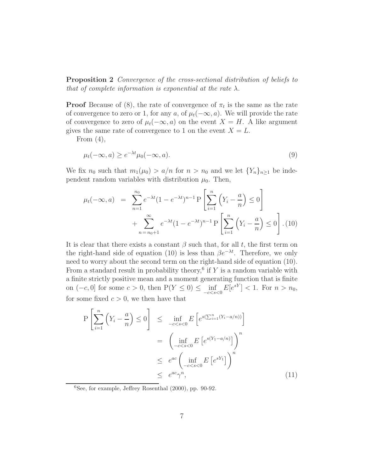Proposition 2 Convergence of the cross-sectional distribution of beliefs to that of complete information is exponential at the rate  $\lambda$ .

**Proof** Because of (8), the rate of convergence of  $\pi_t$  is the same as the rate of convergence to zero or 1, for any a, of  $\mu_t(-\infty, a)$ . We will provide the rate of convergence to zero of  $\mu_t(-\infty, a)$  on the event  $X = H$ . A like argument gives the same rate of convergence to 1 on the event  $X = L$ .

From  $(4)$ ,

$$
\mu_t(-\infty, a) \ge e^{-\lambda t} \mu_0(-\infty, a). \tag{9}
$$

We fix  $n_0$  such that  $m_1(\mu_0) > a/n$  for  $n > n_0$  and we let  $\{Y_n\}_{n>1}$  be independent random variables with distribution  $\mu_0$ . Then,

$$
\mu_t(-\infty, a) = \sum_{n=1}^{n_0} e^{-\lambda t} (1 - e^{-\lambda t})^{n-1} P\left[\sum_{i=1}^n \left(Y_i - \frac{a}{n}\right) \le 0\right] + \sum_{n=n_0+1}^{\infty} e^{-\lambda t} (1 - e^{-\lambda t})^{n-1} P\left[\sum_{i=1}^n \left(Y_i - \frac{a}{n}\right) \le 0\right].
$$
 (10)

It is clear that there exists a constant  $\beta$  such that, for all t, the first term on the right-hand side of equation (10) is less than  $\beta e^{-\lambda t}$ . Therefore, we only need to worry about the second term on the right-hand side of equation (10). From a standard result in probability theory,<sup>6</sup> if Y is a random variable with a finite strictly positive mean and a moment generating function that is finite on  $(-c, 0]$  for some  $c > 0$ , then  $P(Y \le 0) \le \inf_{-c < s < 0} E[e^{sY}] < 1$ . For  $n > n_0$ , for some fixed  $c > 0$ , we then have that

$$
P\left[\sum_{i=1}^{n} \left(Y_i - \frac{a}{n}\right) \le 0\right] \le \inf_{-c < s < 0} E\left[e^{s\left(\sum_{i=1}^{n} (Y_i - a/n)\right)}\right]
$$
\n
$$
= \left(\inf_{-c < s < 0} E\left[e^{s(Y_1 - a/n)}\right]\right)^n
$$
\n
$$
\le e^{ac} \left(\inf_{-c < s < 0} E\left[e^{sY_1}\right]\right)^n
$$
\n
$$
\le e^{ac} \gamma^n, \tag{11}
$$

 ${}^{6}$ See, for example, Jeffrey Rosenthal (2000), pp. 90-92.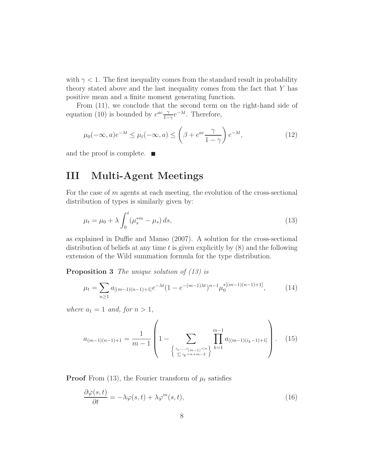with  $\gamma$  < 1. The first inequality comes from the standard result in probability theory stated above and the last inequality comes from the fact that Y has positive mean and a finite moment generating function.

From (11), we conclude that the second term on the right-hand side of equation (10) is bounded by  $e^{ac} \frac{\gamma}{1-\gamma}$  $\frac{\gamma}{1-\gamma}e^{-\lambda t}$ . Therefore,

$$
\mu_0(-\infty, a)e^{-\lambda t} \le \mu_t(-\infty, a) \le \left(\beta + e^{ac} \frac{\gamma}{1-\gamma}\right) e^{-\lambda t},\tag{12}
$$

and the proof is complete. ■

## III Multi-Agent Meetings

For the case of m agents at each meeting, the evolution of the cross-sectional distribution of types is similarly given by:

$$
\mu_t = \mu_0 + \lambda \int_0^t (\mu_s^{*m} - \mu_s) \, ds,\tag{13}
$$

as explained in Duffie and Manso (2007). A solution for the cross-sectional distribution of beliefs at any time t is given explicitly by (8) and the following extension of the Wild summation formula for the type distribution.

Proposition 3 The unique solution of  $(13)$  is

$$
\mu_t = \sum_{n\geq 1} a_{[(m-1)(n-1)+1]} e^{-\lambda t} (1 - e^{-(m-1)\lambda t})^{n-1} \mu_0^{*[(m-1)(n-1)+1]}, \tag{14}
$$

where  $a_1 = 1$  and, for  $n > 1$ ,

$$
a_{(m-1)(n-1)+1} = \frac{1}{m-1} \left( 1 - \sum_{\begin{array}{c} \{i_1, \dots, i_{(m-1)} < n \\\sum_{i_k = n + m - 2} \end{array}\n} \prod_{k=1}^{m-1} a_{[(m-1)(i_k - 1) + 1]} \right). \tag{15}
$$

**Proof** From (13), the Fourier transform of  $\mu_t$  satisfies

$$
\frac{\partial \varphi(s,t)}{\partial t} = -\lambda \varphi(s,t) + \lambda \varphi^m(s,t),\tag{16}
$$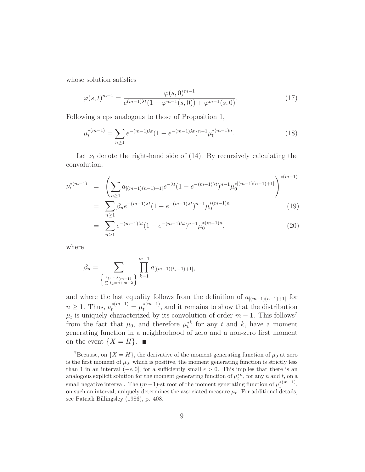whose solution satisfies

$$
\varphi(s,t)^{m-1} = \frac{\varphi(s,0)^{m-1}}{e^{(m-1)\lambda t}(1-\varphi^{m-1}(s,0)) + \varphi^{m-1}(s,0)}.
$$
\n(17)

Following steps analogous to those of Proposition 1,

$$
\mu_t^{*(m-1)} = \sum_{n \ge 1} e^{-(m-1)\lambda t} (1 - e^{-(m-1)\lambda t})^{n-1} \mu_0^{*(m-1)n}.
$$
 (18)

Let  $\nu_t$  denote the right-hand side of (14). By recursively calculating the convolution,

$$
\nu_t^{*(m-1)} = \left( \sum_{n \ge 1} a_{[(m-1)(n-1)+1]} e^{-\lambda t} (1 - e^{-(m-1)\lambda t})^{n-1} \mu_0^{*(m-1)(n-1)+1} \right)^{*(m-1)}
$$
\n
$$
= \sum_{n \ge 1} \beta_n e^{-(m-1)\lambda t} (1 - e^{-(m-1)\lambda t})^{n-1} \mu_0^{*(m-1)n} \tag{19}
$$

$$
= \sum_{n\geq 1}^{n\geq 1} e^{-(m-1)\lambda t} (1 - e^{-(m-1)\lambda t})^{n-1} \mu_0^{*(m-1)n}, \tag{20}
$$

where

$$
\beta_n = \sum_{\left\{\iota_1,\ldots,\iota_{(m-1)}\atop \sum i_k = n+m-2\right\}} \prod_{k=1}^{m-1} a_{[(m-1)(i_k-1)+1]},
$$

and where the last equality follows from the definition of  $a_{[(m-1)(n-1)+1]}$  for  $n \geq 1$ . Thus,  $\nu_t^{*(m-1)} = \mu_t^{*(m-1)}$  $t_t^{*(m-1)}$ , and it remains to show that the distribution  $\mu_t$  is uniquely characterized by its convolution of order  $m-1$ . This follows<sup>7</sup> from the fact that  $\mu_0$ , and therefore  $\mu_t^{*k}$  for any t and k, have a moment generating function in a neighborhood of zero and a non-zero first moment on the event  $\{X = H\}$ .

<sup>&</sup>lt;sup>7</sup>Because, on  $\{X = H\}$ , the derivative of the moment generating function of  $\mu_0$  at zero is the first moment of  $\mu_0$ , which is positive, the moment generating function is strictly less than 1 in an interval  $(-\epsilon, 0]$ , for a sufficiently small  $\epsilon > 0$ . This implies that there is an analogous explicit solution for the moment generating function of  $\mu_t^{*n}$ , for any n and t, on a small negative interval. The  $(m-1)$ -st root of the moment generating function of  $\mu_t^{*(m-1)}$ , on such an interval, uniquely determines the associated measure  $\mu_t$ . For additional details, see Patrick Billingsley (1986), p. 408.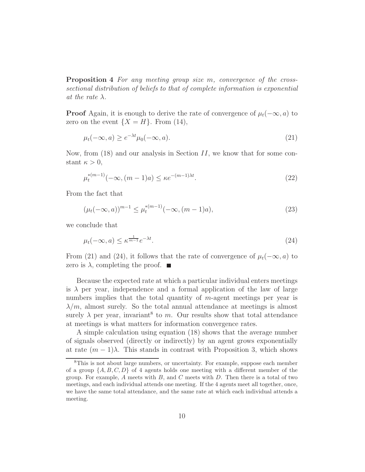Proposition 4 For any meeting group size m, convergence of the crosssectional distribution of beliefs to that of complete information is exponential at the rate  $\lambda$ .

**Proof** Again, it is enough to derive the rate of convergence of  $\mu_t(-\infty, a)$  to zero on the event  $\{X = H\}$ . From (14),

$$
\mu_t(-\infty, a) \ge e^{-\lambda t} \mu_0(-\infty, a). \tag{21}
$$

Now, from  $(18)$  and our analysis in Section II, we know that for some constant  $\kappa > 0$ ,

$$
\mu_t^{*(m-1)}(-\infty, (m-1)a) \le \kappa e^{-(m-1)\lambda t}.
$$
\n(22)

From the fact that

$$
(\mu_t(-\infty, a))^{m-1} \le \mu_t^{*(m-1)}(-\infty, (m-1)a), \tag{23}
$$

we conclude that

$$
\mu_t(-\infty, a) \le \kappa^{\frac{1}{m-1}} e^{-\lambda t}.\tag{24}
$$

From (21) and (24), it follows that the rate of convergence of  $\mu_t(-\infty, a)$  to zero is  $\lambda$ , completing the proof.  $\blacksquare$ 

Because the expected rate at which a particular individual enters meetings is  $\lambda$  per year, independence and a formal application of the law of large numbers implies that the total quantity of m-agent meetings per year is  $\lambda/m$ , almost surely. So the total annual attendance at meetings is almost surely  $\lambda$  per year, invariant<sup>8</sup> to m. Our results show that total attendance at meetings is what matters for information convergence rates.

A simple calculation using equation (18) shows that the average number of signals observed (directly or indirectly) by an agent grows exponentially at rate  $(m-1)\lambda$ . This stands in contrast with Proposition 3, which shows

<sup>8</sup>This is not about large numbers, or uncertainty. For example, suppose each member of a group  $\{A, B, C, D\}$  of 4 agents holds one meeting with a different member of the group. For example,  $A$  meets with  $B$ , and  $C$  meets with  $D$ . Then there is a total of two meetings, and each individual attends one meeting. If the 4 agents meet all together, once, we have the same total attendance, and the same rate at which each individual attends a meeting.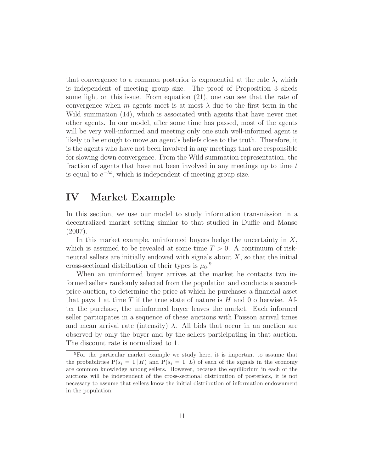that convergence to a common posterior is exponential at the rate  $\lambda$ , which is independent of meeting group size. The proof of Proposition 3 sheds some light on this issue. From equation (21), one can see that the rate of convergence when m agents meet is at most  $\lambda$  due to the first term in the Wild summation (14), which is associated with agents that have never met other agents. In our model, after some time has passed, most of the agents will be very well-informed and meeting only one such well-informed agent is likely to be enough to move an agent's beliefs close to the truth. Therefore, it is the agents who have not been involved in any meetings that are responsible for slowing down convergence. From the Wild summation representation, the fraction of agents that have not been involved in any meetings up to time  $t$ is equal to  $e^{-\lambda t}$ , which is independent of meeting group size.

### IV Market Example

In this section, we use our model to study information transmission in a decentralized market setting similar to that studied in Duffie and Manso (2007).

In this market example, uninformed buyers hedge the uncertainty in  $X$ , which is assumed to be revealed at some time  $T > 0$ . A continuum of riskneutral sellers are initially endowed with signals about  $X$ , so that the initial cross-sectional distribution of their types is  $\mu_0$ <sup>9</sup>

When an uninformed buyer arrives at the market he contacts two informed sellers randomly selected from the population and conducts a secondprice auction, to determine the price at which he purchases a financial asset that pays 1 at time T if the true state of nature is  $H$  and 0 otherwise. After the purchase, the uninformed buyer leaves the market. Each informed seller participates in a sequence of these auctions with Poisson arrival times and mean arrival rate (intensity)  $\lambda$ . All bids that occur in an auction are observed by only the buyer and by the sellers participating in that auction. The discount rate is normalized to 1.

<sup>9</sup>For the particular market example we study here, it is important to assume that the probabilities  $P(s_i = 1 | H)$  and  $P(s_i = 1 | L)$  of each of the signals in the economy are common knowledge among sellers. However, because the equilibrium in each of the auctions will be independent of the cross-sectional distribution of posteriors, it is not necessary to assume that sellers know the initial distribution of information endownment in the population.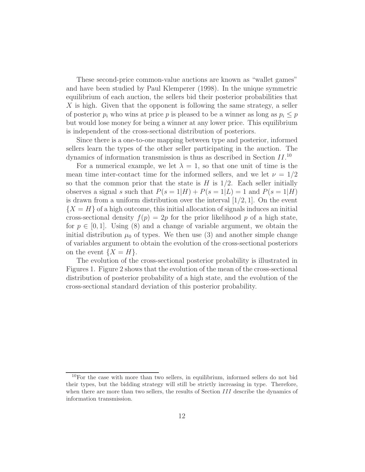These second-price common-value auctions are known as "wallet games" and have been studied by Paul Klemperer (1998). In the unique symmetric equilibrium of each auction, the sellers bid their posterior probabilities that  $X$  is high. Given that the opponent is following the same strategy, a seller of posterior  $p_i$  who wins at price p is pleased to be a winner as long as  $p_i \leq p$ but would lose money for being a winner at any lower price. This equilibrium is independent of the cross-sectional distribution of posteriors.

Since there is a one-to-one mapping between type and posterior, informed sellers learn the types of the other seller participating in the auction. The dynamics of information transmission is thus as described in Section  $II$ <sup>10</sup>

For a numerical example, we let  $\lambda = 1$ , so that one unit of time is the mean time inter-contact time for the informed sellers, and we let  $\nu = 1/2$ so that the common prior that the state is  $H$  is  $1/2$ . Each seller initially observes a signal s such that  $P(s=1|H) + P(s=1|L) = 1$  and  $P(s=1|H)$ is drawn from a uniform distribution over the interval  $[1/2, 1]$ . On the event  ${X = H}$  of a high outcome, this initial allocation of signals induces an initial cross-sectional density  $f(p) = 2p$  for the prior likelihood p of a high state, for  $p \in [0, 1]$ . Using (8) and a change of variable argument, we obtain the initial distribution  $\mu_0$  of types. We then use (3) and another simple change of variables argument to obtain the evolution of the cross-sectional posteriors on the event  $\{X = H\}.$ 

The evolution of the cross-sectional posterior probability is illustrated in Figures 1. Figure 2 shows that the evolution of the mean of the cross-sectional distribution of posterior probability of a high state, and the evolution of the cross-sectional standard deviation of this posterior probability.

 $10$  For the case with more than two sellers, in equilibrium, informed sellers do not bid their types, but the bidding strategy will still be strictly increasing in type. Therefore, when there are more than two sellers, the results of Section III describe the dynamics of information transmission.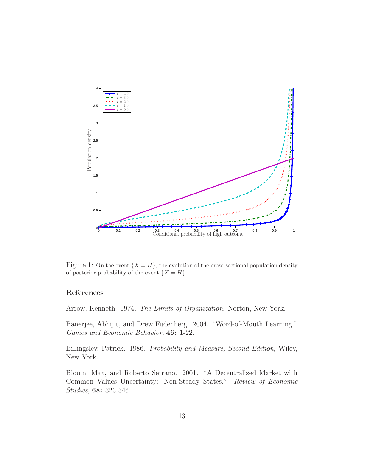

Figure 1: On the event  $\{X = H\}$ , the evolution of the cross-sectional population density of posterior probability of the event  $\{X = H\}.$ 

#### References

Arrow, Kenneth. 1974. The Limits of Organization. Norton, New York.

Banerjee, Abhijit, and Drew Fudenberg. 2004. "Word-of-Mouth Learning." Games and Economic Behavior, 46: 1-22.

Billingsley, Patrick. 1986. Probability and Measure, Second Edition, Wiley, New York.

Blouin, Max, and Roberto Serrano. 2001. "A Decentralized Market with Common Values Uncertainty: Non-Steady States." Review of Economic Studies, 68: 323-346.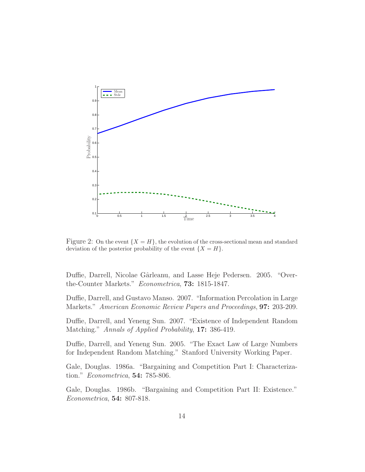

Figure 2: On the event  $\{X = H\}$ , the evolution of the cross-sectional mean and standard deviation of the posterior probability of the event  $\{X = H\}.$ 

Duffie, Darrell, Nicolae Gârleanu, and Lasse Heje Pedersen. 2005. "Overthe-Counter Markets." Econometrica, 73: 1815-1847.

Duffie, Darrell, and Gustavo Manso. 2007. "Information Percolation in Large Markets." American Economic Review Papers and Proceedings, 97: 203-209.

Duffie, Darrell, and Yeneng Sun. 2007. "Existence of Independent Random Matching." Annals of Applied Probability, 17: 386-419.

Duffie, Darrell, and Yeneng Sun. 2005. "The Exact Law of Large Numbers for Independent Random Matching." Stanford University Working Paper.

Gale, Douglas. 1986a. "Bargaining and Competition Part I: Characterization." Econometrica, 54: 785-806.

Gale, Douglas. 1986b. "Bargaining and Competition Part II: Existence." Econometrica, 54: 807-818.